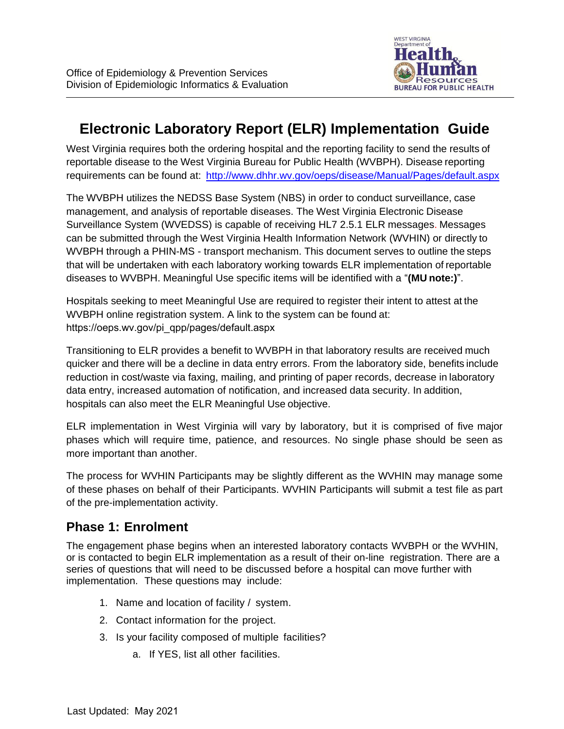

# **Electronic Laboratory Report (ELR) Implementation Guide**

West Virginia requires both the ordering hospital and the reporting facility to send the results of reportable disease to the West Virginia Bureau for Public Health (WVBPH). Disease reporting requirements can be found at:<http://www.dhhr.wv.gov/oeps/disease/Manual/Pages/default.aspx>

The WVBPH utilizes the NEDSS Base System (NBS) in order to conduct surveillance, case management, and analysis of reportable diseases. The West Virginia Electronic Disease Surveillance System (WVEDSS) is capable of receiving HL7 2.5.1 ELR messages. Messages can be submitted through the West Virginia Health Information Network (WVHIN) or directly to WVBPH through a PHIN-MS - transport mechanism. This document serves to outline the steps that will be undertaken with each laboratory working towards ELR implementation of reportable diseases to WVBPH. Meaningful Use specific items will be identified with a "**(MU note:)**".

Hospitals seeking to meet Meaningful Use are required to register their intent to attest at the WVBPH online registration system. A link to the system can be found at: [https://oeps.wv.gov/pi\\_qpp/pages/default.aspx](http://www.dhhr.wv.gov/oeps/disease/pages/meaningful-use.aspx)

Transitioning to ELR provides a benefit to WVBPH in that laboratory results are received much quicker and there will be a decline in data entry errors. From the laboratory side, benefits include reduction in cost/waste via faxing, mailing, and printing of paper records, decrease in laboratory data entry, increased automation of notification, and increased data security. In addition, hospitals can also meet the ELR Meaningful Use objective.

ELR implementation in West Virginia will vary by laboratory, but it is comprised of five major phases which will require time, patience, and resources. No single phase should be seen as more important than another.

The process for WVHIN Participants may be slightly different as the WVHIN may manage some of these phases on behalf of their Participants. WVHIN Participants will submit a test file as part of the pre-implementation activity.

#### **Phase 1: Enrolment**

The engagement phase begins when an interested laboratory contacts WVBPH or the WVHIN, or is contacted to begin ELR implementation as a result of their on-line registration. There are a series of questions that will need to be discussed before a hospital can move further with implementation. These questions may include:

- 1. Name and location of facility / system.
- 2. Contact information for the project.
- 3. Is your facility composed of multiple facilities?
	- a. If YES, list all other facilities.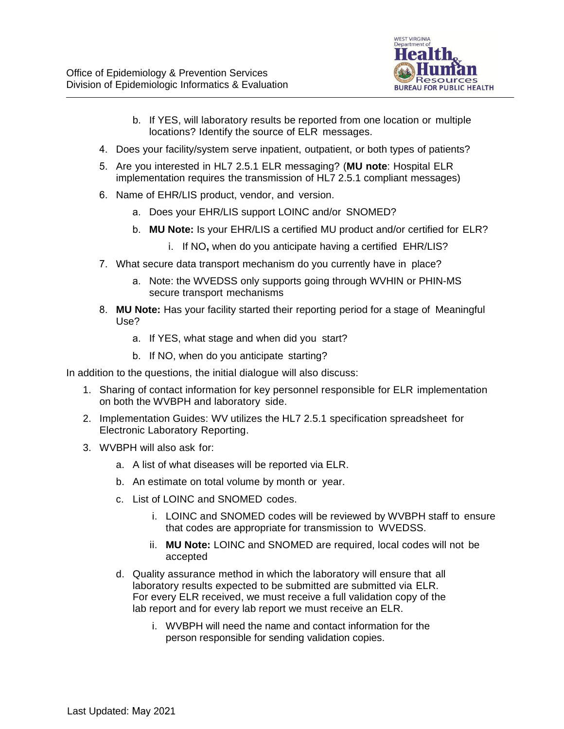

- b. If YES, will laboratory results be reported from one location or multiple locations? Identify the source of ELR messages.
- 4. Does your facility/system serve inpatient, outpatient, or both types of patients?
- 5. Are you interested in HL7 2.5.1 ELR messaging? (**MU note**: Hospital ELR implementation requires the transmission of HL7 2.5.1 compliant messages)
- 6. Name of EHR/LIS product, vendor, and version.
	- a. Does your EHR/LIS support LOINC and/or SNOMED?
	- b. **MU Note:** Is your EHR/LIS a certified MU product and/or certified for ELR?
		- i. If NO**,** when do you anticipate having a certified EHR/LIS?
- 7. What secure data transport mechanism do you currently have in place?
	- a. Note: the WVEDSS only supports going through WVHIN or PHIN-MS secure transport mechanisms
- 8. **MU Note:** Has your facility started their reporting period for a stage of Meaningful Use?
	- a. If YES, what stage and when did you start?
	- b. If NO, when do you anticipate starting?

In addition to the questions, the initial dialogue will also discuss:

- 1. Sharing of contact information for key personnel responsible for ELR implementation on both the WVBPH and laboratory side.
- 2. Implementation Guides: WV utilizes the HL7 2.5.1 specification spreadsheet for Electronic Laboratory Reporting.
- 3. WVBPH will also ask for:
	- a. A list of what diseases will be reported via ELR.
	- b. An estimate on total volume by month or year.
	- c. List of LOINC and SNOMED codes.
		- i. LOINC and SNOMED codes will be reviewed by WVBPH staff to ensure that codes are appropriate for transmission to WVEDSS.
		- ii. **MU Note:** LOINC and SNOMED are required, local codes will not be accepted
	- d. Quality assurance method in which the laboratory will ensure that all laboratory results expected to be submitted are submitted via ELR. For every ELR received, we must receive a full validation copy of the lab report and for every lab report we must receive an ELR.
		- i. WVBPH will need the name and contact information for the person responsible for sending validation copies.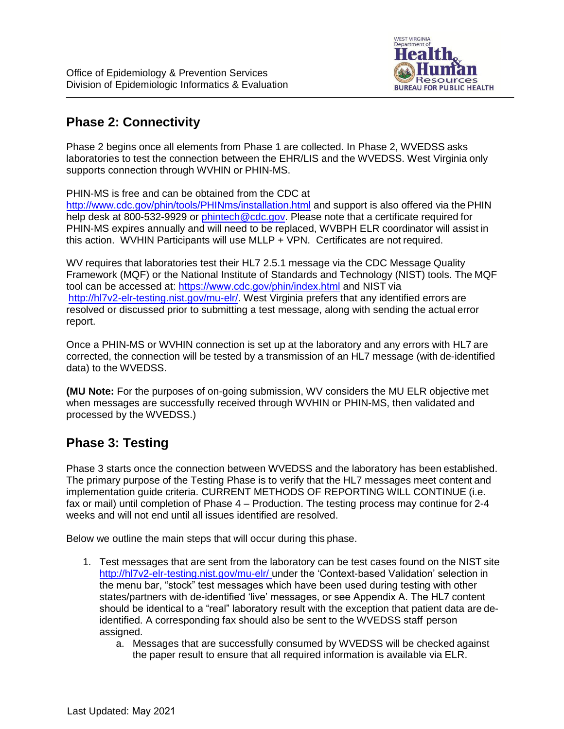

### **Phase 2: Connectivity**

Phase 2 begins once all elements from Phase 1 are collected. In Phase 2, WVEDSS asks laboratories to test the connection between the EHR/LIS and the WVEDSS. West Virginia only supports connection through WVHIN or PHIN-MS.

PHIN-MS is free and can be obtained from the CDC at

[http://www.cdc.gov/phin/tools/PHINms/installation.html a](http://www.cdc.gov/phin/tools/PHINms/installation.html)nd support is also offered via the PHIN help desk at 800-532-9929 or [phintech@cdc.gov.](mailto:phintech@cdc.gov) Please note that a certificate required for PHIN-MS expires annually and will need to be replaced, WVBPH ELR coordinator will assist in this action. WVHIN Participants will use MLLP + VPN. Certificates are not required.

WV requires that laboratories test their HL7 2.5.1 message via the CDC Message Quality Framework (MQF) or the National Institute of Standards and Technology (NIST) tools. The MQF tool can be accessed at: https://[www.cdc.gov/phin/index.html](https://phinmqf.cdc.gov/) and NIST via [http://hl7v2-elr-testing.nist.gov/mu-elr/.](http://hl7v2-elr-testing.nist.gov/mu-elr/) West Virginia prefers that any identified errors are resolved or discussed prior to submitting a test message, along with sending the actual error report.

Once a PHIN-MS or WVHIN connection is set up at the laboratory and any errors with HL7 are corrected, the connection will be tested by a transmission of an HL7 message (with de-identified data) to the WVEDSS.

**(MU Note:** For the purposes of on-going submission, WV considers the MU ELR objective met when messages are successfully received through WVHIN or PHIN-MS, then validated and processed by the WVEDSS.)

# **Phase 3: Testing**

Phase 3 starts once the connection between WVEDSS and the laboratory has been established. The primary purpose of the Testing Phase is to verify that the HL7 messages meet content and implementation guide criteria. CURRENT METHODS OF REPORTING WILL CONTINUE (i.e. fax or mail) until completion of Phase 4 – Production. The testing process may continue for 2-4 weeks and will not end until all issues identified are resolved.

Below we outline the main steps that will occur during this phase.

- 1. Test messages that are sent from the laboratory can be test cases found on the NIST site [http://hl7v2-elr-testing.nist.gov/mu-elr/ u](http://hl7v2-elr-testing.nist.gov/mu-elr/)nder the 'Context-based Validation' selection in the menu bar, "stock" test messages which have been used during testing with other states/partners with de-identified 'live' messages, or see Appendix A. The HL7 content should be identical to a "real" laboratory result with the exception that patient data are deidentified. A corresponding fax should also be sent to the WVEDSS staff person assigned.
	- a. Messages that are successfully consumed by WVEDSS will be checked against the paper result to ensure that all required information is available via ELR.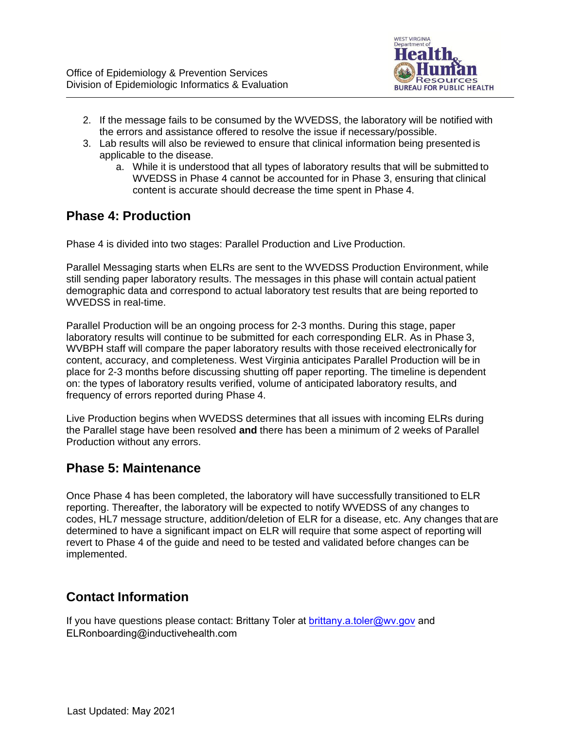

- 2. If the message fails to be consumed by the WVEDSS, the laboratory will be notified with the errors and assistance offered to resolve the issue if necessary/possible.
- 3. Lab results will also be reviewed to ensure that clinical information being presented is applicable to the disease.
	- a. While it is understood that all types of laboratory results that will be submitted to WVEDSS in Phase 4 cannot be accounted for in Phase 3, ensuring that clinical content is accurate should decrease the time spent in Phase 4.

#### **Phase 4: Production**

Phase 4 is divided into two stages: Parallel Production and Live Production.

Parallel Messaging starts when ELRs are sent to the WVEDSS Production Environment, while still sending paper laboratory results. The messages in this phase will contain actual patient demographic data and correspond to actual laboratory test results that are being reported to WVEDSS in real-time.

Parallel Production will be an ongoing process for 2-3 months. During this stage, paper laboratory results will continue to be submitted for each corresponding ELR. As in Phase 3, WVBPH staff will compare the paper laboratory results with those received electronically for content, accuracy, and completeness. West Virginia anticipates Parallel Production will be in place for 2-3 months before discussing shutting off paper reporting. The timeline is dependent on: the types of laboratory results verified, volume of anticipated laboratory results, and frequency of errors reported during Phase 4.

Live Production begins when WVEDSS determines that all issues with incoming ELRs during the Parallel stage have been resolved **and** there has been a minimum of 2 weeks of Parallel Production without any errors.

#### **Phase 5: Maintenance**

Once Phase 4 has been completed, the laboratory will have successfully transitioned to ELR reporting. Thereafter, the laboratory will be expected to notify WVEDSS of any changes to codes, HL7 message structure, addition/deletion of ELR for a disease, etc. Any changes that are determined to have a significant impact on ELR will require that some aspect of reporting will revert to Phase 4 of the guide and need to be tested and validated before changes can be implemented.

# **Contact Information**

If you have questions please contact: Brittany Toler at **brittany.a.toler@wv.gov** and ELRonboarding@inductivehealth.com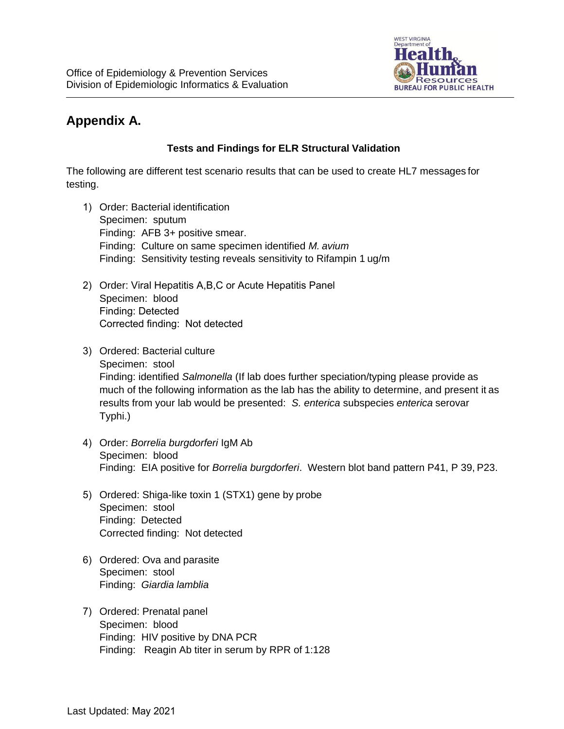

# **Appendix A.**

#### **Tests and Findings for ELR Structural Validation**

The following are different test scenario results that can be used to create HL7 messages for testing.

- 1) Order: Bacterial identification Specimen: sputum Finding: AFB 3+ positive smear. Finding: Culture on same specimen identified *M. avium* Finding: Sensitivity testing reveals sensitivity to Rifampin 1 ug/m
- 2) Order: Viral Hepatitis A,B,C or Acute Hepatitis Panel Specimen: blood Finding: Detected Corrected finding: Not detected
- 3) Ordered: Bacterial culture Specimen: stool Finding: identified *Salmonella* (If lab does further speciation/typing please provide as much of the following information as the lab has the ability to determine, and present it as results from your lab would be presented: *S. enterica* subspecies *enterica* serovar Typhi.)
- 4) Order: *Borrelia burgdorferi* IgM Ab Specimen: blood Finding: EIA positive for *Borrelia burgdorferi*. Western blot band pattern P41, P 39, P23.
- 5) Ordered: Shiga-like toxin 1 (STX1) gene by probe Specimen: stool Finding: Detected Corrected finding: Not detected
- 6) Ordered: Ova and parasite Specimen: stool Finding: *Giardia lamblia*
- 7) Ordered: Prenatal panel Specimen: blood Finding: HIV positive by DNA PCR Finding: Reagin Ab titer in serum by RPR of 1:128